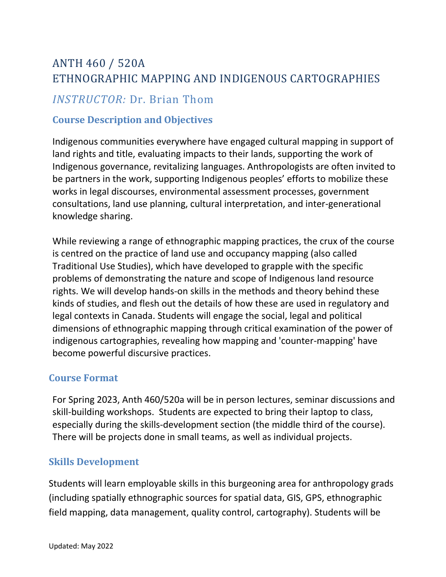# ANTH 460 / 520A ETHNOGRAPHIC MAPPING AND INDIGENOUS CARTOGRAPHIES

## *INSTRUCTOR:* Dr. Brian Thom

#### **Course Description and Objectives**

Indigenous communities everywhere have engaged cultural mapping in support of land rights and title, evaluating impacts to their lands, supporting the work of Indigenous governance, revitalizing languages. Anthropologists are often invited to be partners in the work, supporting Indigenous peoples' efforts to mobilize these works in legal discourses, environmental assessment processes, government consultations, land use planning, cultural interpretation, and inter-generational knowledge sharing.

While reviewing a range of ethnographic mapping practices, the crux of the course is centred on the practice of land use and occupancy mapping (also called Traditional Use Studies), which have developed to grapple with the specific problems of demonstrating the nature and scope of Indigenous land resource rights. We will develop hands-on skills in the methods and theory behind these kinds of studies, and flesh out the details of how these are used in regulatory and legal contexts in Canada. Students will engage the social, legal and political dimensions of ethnographic mapping through critical examination of the power of indigenous cartographies, revealing how mapping and 'counter-mapping' have become powerful discursive practices.

#### **Course Format**

For Spring 2023, Anth 460/520a will be in person lectures, seminar discussions and skill-building workshops. Students are expected to bring their laptop to class, especially during the skills-development section (the middle third of the course). There will be projects done in small teams, as well as individual projects.

#### **Skills Development**

Students will learn employable skills in this burgeoning area for anthropology grads (including spatially ethnographic sources for spatial data, GIS, GPS, ethnographic field mapping, data management, quality control, cartography). Students will be